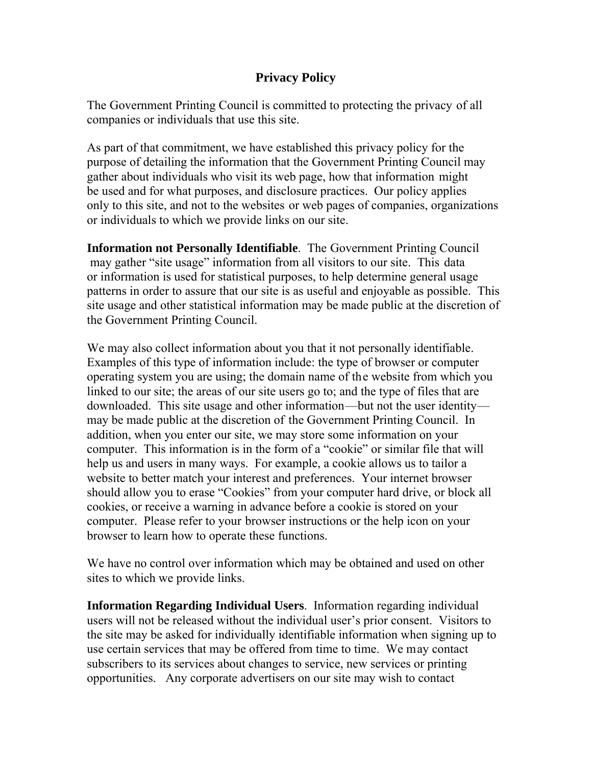## **Privacy Policy**

The Government Printing Council is committed to protecting the privacy of all companies or individuals that use this site.

As part of that commitment, we have established this privacy policy for the purpose of detailing the information that the Government Printing Council may gather about individuals who visit its web page, how that information might be used and for what purposes, and disclosure practices. Our policy applies only to this site, and not to the websites or web pages of companies, organizations or individuals to which we provide links on our site.

**Information not Personally Identifiable**. The Government Printing Council may gather "site usage" information from all visitors to our site. This data or information is used for statistical purposes, to help determine general usage patterns in order to assure that our site is as useful and enjoyable as possible. This site usage and other statistical information may be made public at the discretion of the Government Printing Council.

We may also collect information about you that it not personally identifiable. Examples of this type of information include: the type of browser or computer operating system you are using; the domain name of the website from which you linked to our site; the areas of our site users go to; and the type of files that are downloaded. This site usage and other information—but not the user identity may be made public at the discretion of the Government Printing Council. In addition, when you enter our site, we may store some information on your computer. This information is in the form of a "cookie" or similar file that will help us and users in many ways. For example, a cookie allows us to tailor a website to better match your interest and preferences. Your internet browser should allow you to erase "Cookies" from your computer hard drive, or block all cookies, or receive a warning in advance before a cookie is stored on your computer. Please refer to your browser instructions or the help icon on your browser to learn how to operate these functions.

We have no control over information which may be obtained and used on other sites to which we provide links.

**Information Regarding Individual Users**. Information regarding individual users will not be released without the individual user's prior consent. Visitors to the site may be asked for individually identifiable information when signing up to use certain services that may be offered from time to time. We may contact subscribers to its services about changes to service, new services or printing opportunities. Any corporate advertisers on our site may wish to contact